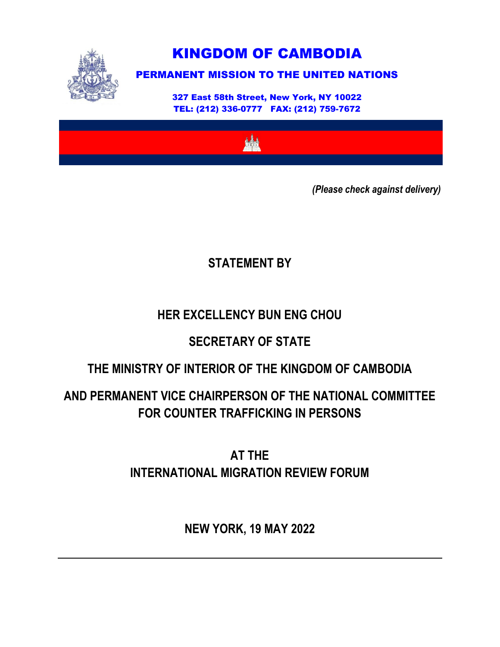

KINGDOM OF CAMBODIA

# PERMANENT MISSION TO THE UNITED NATIONS

327 East 58th Street, New York, NY 10022 TEL: (212) 336-0777 FAX: (212) 759-7672



*(Please check against delivery)*

### **STATEMENT BY**

### **HER EXCELLENCY BUN ENG CHOU**

# **SECRETARY OF STATE**

### **THE MINISTRY OF INTERIOR OF THE KINGDOM OF CAMBODIA**

# **AND PERMANENT VICE CHAIRPERSON OF THE NATIONAL COMMITTEE FOR COUNTER TRAFFICKING IN PERSONS**

**AT THE INTERNATIONAL MIGRATION REVIEW FORUM**

**NEW YORK, 19 MAY 2022**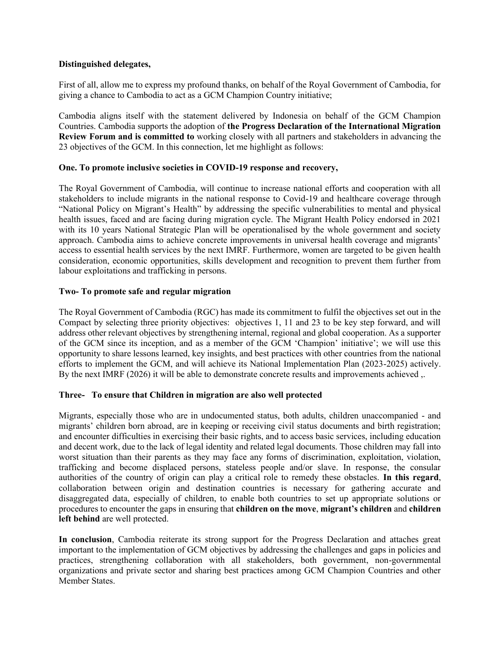### **Distinguished delegates,**

First of all, allow me to express my profound thanks, on behalf of the Royal Government of Cambodia, for giving a chance to Cambodia to act as a GCM Champion Country initiative;

Cambodia aligns itself with the statement delivered by Indonesia on behalf of the GCM Champion Countries. Cambodia supports the adoption of **the Progress Declaration of the International Migration Review Forum and is committed to** working closely with all partners and stakeholders in advancing the 23 objectives of the GCM. In this connection, let me highlight as follows:

#### **One. To promote inclusive societies in COVID-19 response and recovery,**

The Royal Government of Cambodia, will continue to increase national efforts and cooperation with all stakeholders to include migrants in the national response to Covid-19 and healthcare coverage through "National Policy on Migrant's Health" by addressing the specific vulnerabilities to mental and physical health issues, faced and are facing during migration cycle. The Migrant Health Policy endorsed in 2021 with its 10 years National Strategic Plan will be operationalised by the whole government and society approach. Cambodia aims to achieve concrete improvements in universal health coverage and migrants' access to essential health services by the next IMRF. Furthermore, women are targeted to be given health consideration, economic opportunities, skills development and recognition to prevent them further from labour exploitations and trafficking in persons.

#### **Two- To promote safe and regular migration**

The Royal Government of Cambodia (RGC) has made its commitment to fulfil the objectives set out in the Compact by selecting three priority objectives: objectives 1, 11 and 23 to be key step forward, and will address other relevant objectives by strengthening internal, regional and global cooperation. As a supporter of the GCM since its inception, and as a member of the GCM 'Champion' initiative'; we will use this opportunity to share lessons learned, key insights, and best practices with other countries from the national efforts to implement the GCM, and will achieve its National Implementation Plan (2023-2025) actively. By the next IMRF (2026) it will be able to demonstrate concrete results and improvements achieved ,.

#### **Three- To ensure that Children in migration are also well protected**

Migrants, especially those who are in undocumented status, both adults, children unaccompanied - and migrants' children born abroad, are in keeping or receiving civil status documents and birth registration; and encounter difficulties in exercising their basic rights, and to access basic services, including education and decent work, due to the lack of legal identity and related legal documents. Those children may fall into worst situation than their parents as they may face any forms of discrimination, exploitation, violation, trafficking and become displaced persons, stateless people and/or slave. In response, the consular authorities of the country of origin can play a critical role to remedy these obstacles. **In this regard**, collaboration between origin and destination countries is necessary for gathering accurate and disaggregated data, especially of children, to enable both countries to set up appropriate solutions or procedures to encounter the gaps in ensuring that **children on the move**, **migrant's children** and **children left behind** are well protected.

**In conclusion**, Cambodia reiterate its strong support for the Progress Declaration and attaches great important to the implementation of GCM objectives by addressing the challenges and gaps in policies and practices, strengthening collaboration with all stakeholders, both government, non-governmental organizations and private sector and sharing best practices among GCM Champion Countries and other Member States.